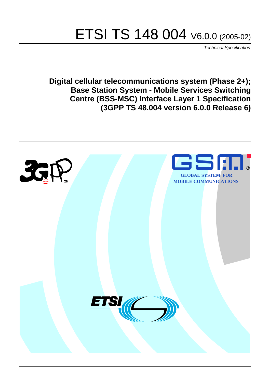# ETSI TS 148 004 V6.0.0 (2005-02)

Technical Specification

**Digital cellular telecommunications system (Phase 2+); Base Station System - Mobile Services Switching Centre (BSS-MSC) Interface Layer 1 Specification (3GPP TS 48.004 version 6.0.0 Release 6)**

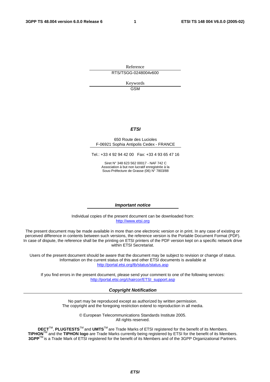Reference RTS/TSGG-0248004v600

> Keywords GSM

#### **ETSI**

#### 650 Route des Lucioles F-06921 Sophia Antipolis Cedex - FRANCE

Tel.: +33 4 92 94 42 00 Fax: +33 4 93 65 47 16

Siret N° 348 623 562 00017 - NAF 742 C Association à but non lucratif enregistrée à la Sous-Préfecture de Grasse (06) N° 7803/88

#### **Important notice**

Individual copies of the present document can be downloaded from: [http://www.etsi.org](http://www.etsi.org/)

The present document may be made available in more than one electronic version or in print. In any case of existing or perceived difference in contents between such versions, the reference version is the Portable Document Format (PDF). In case of dispute, the reference shall be the printing on ETSI printers of the PDF version kept on a specific network drive within ETSI Secretariat.

Users of the present document should be aware that the document may be subject to revision or change of status. Information on the current status of this and other ETSI documents is available at <http://portal.etsi.org/tb/status/status.asp>

If you find errors in the present document, please send your comment to one of the following services: [http://portal.etsi.org/chaircor/ETSI\\_support.asp](http://portal.etsi.org/chaircor/ETSI_support.asp)

#### **Copyright Notification**

No part may be reproduced except as authorized by written permission. The copyright and the foregoing restriction extend to reproduction in all media.

> © European Telecommunications Standards Institute 2005. All rights reserved.

**DECT**TM, **PLUGTESTS**TM and **UMTS**TM are Trade Marks of ETSI registered for the benefit of its Members. **TIPHON**TM and the **TIPHON logo** are Trade Marks currently being registered by ETSI for the benefit of its Members. **3GPP**TM is a Trade Mark of ETSI registered for the benefit of its Members and of the 3GPP Organizational Partners.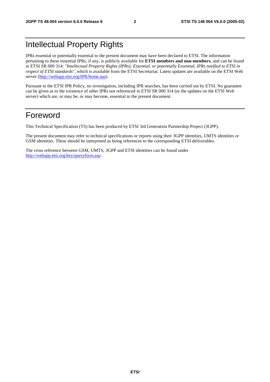### Intellectual Property Rights

IPRs essential or potentially essential to the present document may have been declared to ETSI. The information pertaining to these essential IPRs, if any, is publicly available for **ETSI members and non-members**, and can be found in ETSI SR 000 314: *"Intellectual Property Rights (IPRs); Essential, or potentially Essential, IPRs notified to ETSI in respect of ETSI standards"*, which is available from the ETSI Secretariat. Latest updates are available on the ETSI Web server ([http://webapp.etsi.org/IPR/home.asp\)](http://webapp.etsi.org/IPR/home.asp).

Pursuant to the ETSI IPR Policy, no investigation, including IPR searches, has been carried out by ETSI. No guarantee can be given as to the existence of other IPRs not referenced in ETSI SR 000 314 (or the updates on the ETSI Web server) which are, or may be, or may become, essential to the present document.

#### Foreword

This Technical Specification (TS) has been produced by ETSI 3rd Generation Partnership Project (3GPP).

The present document may refer to technical specifications or reports using their 3GPP identities, UMTS identities or GSM identities. These should be interpreted as being references to the corresponding ETSI deliverables.

The cross reference between GSM, UMTS, 3GPP and ETSI identities can be found under <http://webapp.etsi.org/key/queryform.asp>.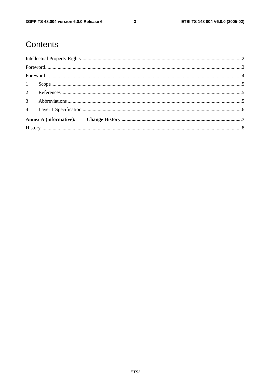### Contents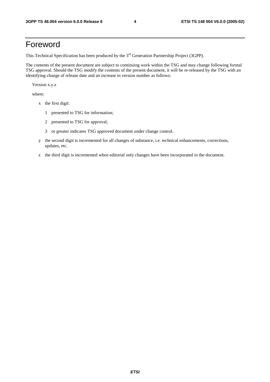### Foreword

This Technical Specification has been produced by the 3<sup>rd</sup> Generation Partnership Project (3GPP).

The contents of the present document are subject to continuing work within the TSG and may change following formal TSG approval. Should the TSG modify the contents of the present document, it will be re-released by the TSG with an identifying change of release date and an increase in version number as follows:

Version x.y.z

where:

- x the first digit:
	- 1 presented to TSG for information;
	- 2 presented to TSG for approval;
	- 3 or greater indicates TSG approved document under change control.
- y the second digit is incremented for all changes of substance, i.e. technical enhancements, corrections, updates, etc.
- z the third digit is incremented when editorial only changes have been incorporated in the document.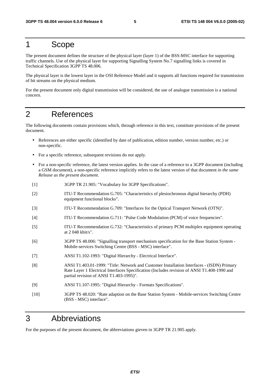#### 1 Scope

The present document defines the structure of the physical layer (layer 1) of the BSS-MSC interface for supporting traffic channels. Use of the physical layer for supporting Signalling System No.7 signalling links is covered in Technical Specification 3GPP TS 48.006.

The physical layer is the lowest layer in the OSI Reference Model and it supports all functions required for transmission of bit streams on the physical medium.

For the present document only digital transmission will be considered, the use of analogue transmission is a national concern.

#### 2 References

The following documents contain provisions which, through reference in this text, constitute provisions of the present document.

- References are either specific (identified by date of publication, edition number, version number, etc.) or non-specific.
- For a specific reference, subsequent revisions do not apply.
- For a non-specific reference, the latest version applies. In the case of a reference to a 3GPP document (including a GSM document), a non-specific reference implicitly refers to the latest version of that document *in the same Release as the present document*.
- [1] 3GPP TR 21.905: "Vocabulary for 3GPP Specifications".
- [2] ITU-T Recommendation G.705: "Characteristics of plesiochronous digital hierarchy (PDH) equipment functional blocks".
- [3] ITU-T Recommendation G.709: "Interfaces for the Optical Transport Network (OTN)".
- [4] ITU-T Recommendation G.711: "Pulse Code Modulation (PCM) of voice frequencies".
- [5] ITU-T Recommendation G.732: "Characteristics of primary PCM multiplex equipment operating at 2 048 kbit/s".
- [6] 3GPP TS 48.006: "Signalling transport mechanism specification for the Base Station System Mobile-services Switching Centre (BSS - MSC) interface".
- [7] ANSI T1.102-1993: "Digital Hierarchy Electrical Interface".
- [8] ANSI T1.403.01-1999: "Title: Network and Customer Installation Interfaces (ISDN) Primary Rate Layer 1 Electrical Interfaces Specification (Includes revision of ANSI T1.408-1990 and partial revision of ANSI T1.403-1995)".
- [9] ANSI T1.107-1995: "Digital Hierarchy Formats Specifications".
- [10] 3GPP TS 48.020: "Rate adaption on the Base Station System Mobile-services Switching Centre (BSS - MSC) interface".

#### 3 Abbreviations

For the purposes of the present document, the abbreviations gieven in 3GPP TR 21.905 apply.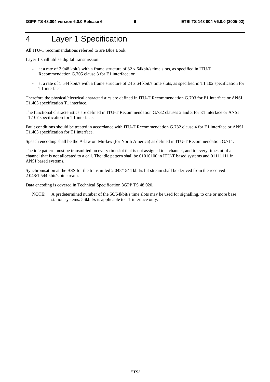### 4 Layer 1 Specification

All ITU-T recommendations referred to are Blue Book.

Layer 1 shall utilise digital transmission:

- at a rate of 2 048 kbit/s with a frame structure of 32 x 64kbit/s time slots, as specified in ITU-T Recommendation G.705 clause 3 for E1 interface; or
- at a rate of 1 544 kbit/s with a frame structure of 24 x 64 kbit/s time slots, as specified in T1.102 specification for T1 interface.

Therefore the physical/electrical characteristics are defined in ITU-T Recommendation G.703 for E1 interface or ANSI T1.403 specification T1 interface.

The functional characteristics are defined in ITU-T Recommendation G.732 clauses 2 and 3 for E1 interface or ANSI T1.107 specification for T1 interface.

Fault conditions should be treated in accordance with ITU-T Recommendation G.732 clause 4 for E1 interface or ANSI T1.403 specification for T1 interface.

Speech encoding shall be the A-law or Mu-law (for North America) as defined in ITU-T Recommendation G.711.

The idle pattern must be transmitted on every timeslot that is not assigned to a channel, and to every timeslot of a channel that is not allocated to a call. The idle pattern shall be 01010100 in ITU-T based systems and 01111111 in ANSI based systems.

Synchronisation at the BSS for the transmitted 2 048/1544 kbit/s bit stream shall be derived from the received 2 048/1 544 kbit/s bit stream.

Data encoding is covered in Technical Specification 3GPP TS 48.020.

NOTE: A predetermined number of the 56/64 kbit/s time slots may be used for signalling, to one or more base station systems. 56kbit/s is applicable to T1 interface only.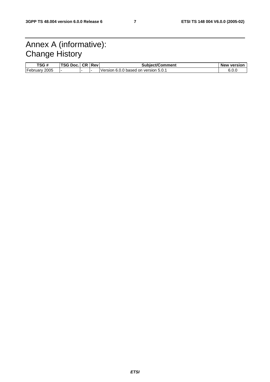### Annex A (informative): Change History

| TSG#                  | TSG Doc. | <b>CR</b> | <b>Revi</b> | <b>Subiect/Comment</b>                     | <b>New version</b> |
|-----------------------|----------|-----------|-------------|--------------------------------------------|--------------------|
| -<br>2005<br>February |          |           |             | l on version 5.0.1<br>IVersion 6.0.0 based | 6.0.C              |